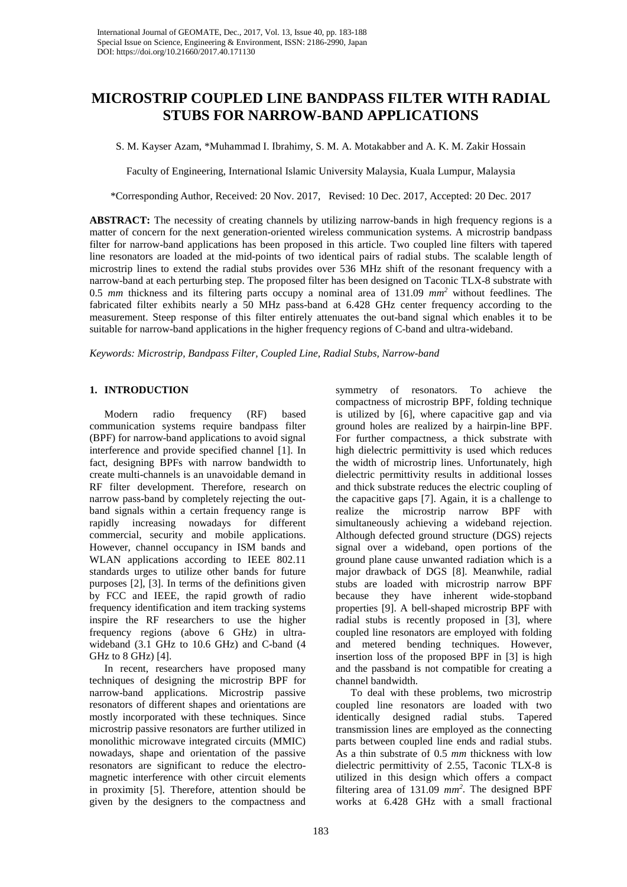# **MICROSTRIP COUPLED LINE BANDPASS FILTER WITH RADIAL STUBS FOR NARROW-BAND APPLICATIONS**

S. M. Kayser Azam, \*Muhammad I. Ibrahimy, S. M. A. Motakabber and A. K. M. Zakir Hossain

Faculty of Engineering, International Islamic University Malaysia, Kuala Lumpur, Malaysia

\*Corresponding Author, Received: 20 Nov. 2017, Revised: 10 Dec. 2017, Accepted: 20 Dec. 2017

**ABSTRACT:** The necessity of creating channels by utilizing narrow-bands in high frequency regions is a matter of concern for the next generation-oriented wireless communication systems. A microstrip bandpass filter for narrow-band applications has been proposed in this article. Two coupled line filters with tapered line resonators are loaded at the mid-points of two identical pairs of radial stubs. The scalable length of microstrip lines to extend the radial stubs provides over 536 MHz shift of the resonant frequency with a narrow-band at each perturbing step. The proposed filter has been designed on Taconic TLX-8 substrate with 0.5 *mm* thickness and its filtering parts occupy a nominal area of 131.09 *mm2* without feedlines. The fabricated filter exhibits nearly a 50 MHz pass-band at 6.428 GHz center frequency according to the measurement. Steep response of this filter entirely attenuates the out-band signal which enables it to be suitable for narrow-band applications in the higher frequency regions of C-band and ultra-wideband.

*Keywords: Microstrip, Bandpass Filter, Coupled Line, Radial Stubs, Narrow-band*

## **1. INTRODUCTION**

Modern radio frequency (RF) based communication systems require bandpass filter (BPF) for narrow-band applications to avoid signal interference and provide specified channel [1]. In fact, designing BPFs with narrow bandwidth to create multi-channels is an unavoidable demand in RF filter development. Therefore, research on narrow pass-band by completely rejecting the outband signals within a certain frequency range is rapidly increasing nowadays for different commercial, security and mobile applications. However, channel occupancy in ISM bands and WLAN applications according to IEEE 802.11 standards urges to utilize other bands for future purposes [2], [3]. In terms of the definitions given by FCC and IEEE, the rapid growth of radio frequency identification and item tracking systems inspire the RF researchers to use the higher frequency regions (above 6 GHz) in ultrawideband (3.1 GHz to 10.6 GHz) and C-band (4 GHz to 8 GHz) [4].

In recent, researchers have proposed many techniques of designing the microstrip BPF for narrow-band applications. Microstrip passive resonators of different shapes and orientations are mostly incorporated with these techniques. Since microstrip passive resonators are further utilized in monolithic microwave integrated circuits (MMIC) nowadays, shape and orientation of the passive resonators are significant to reduce the electromagnetic interference with other circuit elements in proximity [5]. Therefore, attention should be given by the designers to the compactness and

symmetry of resonators. To achieve the compactness of microstrip BPF, folding technique is utilized by [6], where capacitive gap and via ground holes are realized by a hairpin-line BPF. For further compactness, a thick substrate with high dielectric permittivity is used which reduces the width of microstrip lines. Unfortunately, high dielectric permittivity results in additional losses and thick substrate reduces the electric coupling of the capacitive gaps [7]. Again, it is a challenge to realize the microstrip narrow BPF with simultaneously achieving a wideband rejection. Although defected ground structure (DGS) rejects signal over a wideband, open portions of the ground plane cause unwanted radiation which is a major drawback of DGS [8]. Meanwhile, radial stubs are loaded with microstrip narrow BPF because they have inherent wide-stopband properties [9]. A bell-shaped microstrip BPF with radial stubs is recently proposed in [3], where coupled line resonators are employed with folding and metered bending techniques. However, insertion loss of the proposed BPF in [3] is high and the passband is not compatible for creating a channel bandwidth.

To deal with these problems, two microstrip coupled line resonators are loaded with two identically designed radial stubs. Tapered transmission lines are employed as the connecting parts between coupled line ends and radial stubs. As a thin substrate of 0.5 *mm* thickness with low dielectric permittivity of 2.55, Taconic TLX-8 is utilized in this design which offers a compact filtering area of 131.09 *mm<sup>2</sup>* . The designed BPF works at 6.428 GHz with a small fractional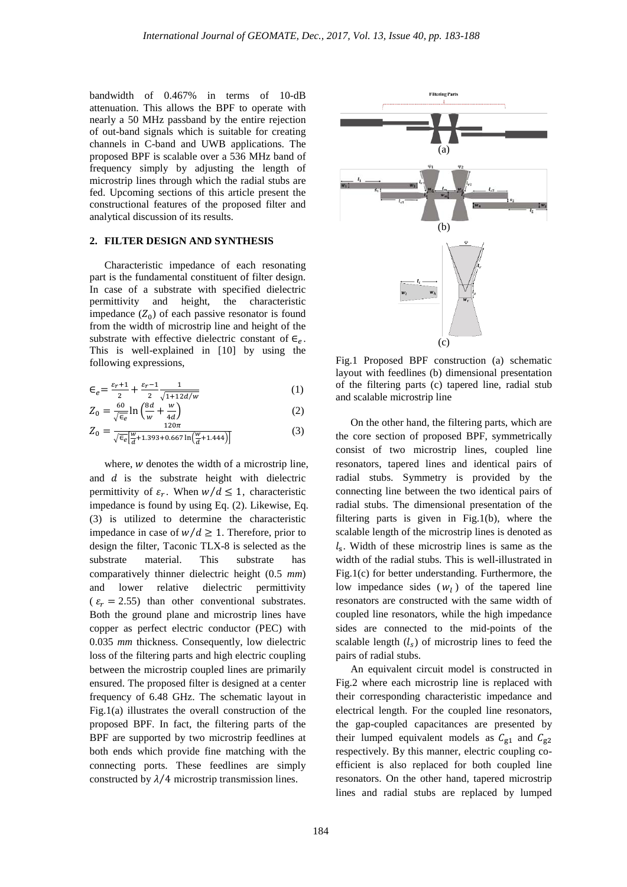bandwidth of 0.467% in terms of 10-dB attenuation. This allows the BPF to operate with nearly a 50 MHz passband by the entire rejection of out-band signals which is suitable for creating channels in C-band and UWB applications. The proposed BPF is scalable over a 536 MHz band of frequency simply by adjusting the length of microstrip lines through which the radial stubs are fed. Upcoming sections of this article present the constructional features of the proposed filter and analytical discussion of its results.

### **2. FILTER DESIGN AND SYNTHESIS**

Characteristic impedance of each resonating part is the fundamental constituent of filter design. In case of a substrate with specified dielectric permittivity and height, the characteristic impedance  $(Z_0)$  of each passive resonator is found from the width of microstrip line and height of the substrate with effective dielectric constant of  $\epsilon_e$ . This is well-explained in [10] by using the following expressions,

$$
\epsilon_e = \frac{\epsilon_r + 1}{2} + \frac{\epsilon_r - 1}{2} \frac{1}{\sqrt{1 + 12d/w}}\tag{1}
$$

$$
Z_0 = \frac{60}{\sqrt{\epsilon_e}} \ln \left( \frac{8d}{w} + \frac{w}{4d} \right) \tag{2}
$$

$$
Z_0 = \frac{120\pi}{\sqrt{\epsilon_e} \left[ \frac{w}{d} + 1.393 + 0.667 \ln\left(\frac{w}{d} + 1.444\right) \right]}
$$
(3)

where,  *denotes the width of a microstrip line,* and  $d$  is the substrate height with dielectric permittivity of  $\varepsilon_r$ . When  $w/d \leq 1$ , characteristic impedance is found by using Eq. (2). Likewise, Eq. (3) is utilized to determine the characteristic impedance in case of  $w/d \ge 1$ . Therefore, prior to design the filter, Taconic TLX-8 is selected as the substrate material. This substrate has comparatively thinner dielectric height (0.5 *mm*) and lower relative dielectric permittivity  $(\varepsilon_r = 2.55)$  than other conventional substrates. Both the ground plane and microstrip lines have copper as perfect electric conductor (PEC) with 0.035 *mm* thickness. Consequently, low dielectric loss of the filtering parts and high electric coupling between the microstrip coupled lines are primarily ensured. The proposed filter is designed at a center frequency of 6.48 GHz. The schematic layout in Fig.1(a) illustrates the overall construction of the proposed BPF. In fact, the filtering parts of the BPF are supported by two microstrip feedlines at both ends which provide fine matching with the connecting ports. These feedlines are simply constructed by  $\lambda/4$  microstrip transmission lines.



Fig.1 Proposed BPF construction (a) schematic layout with feedlines (b) dimensional presentation of the filtering parts (c) tapered line, radial stub and scalable microstrip line

On the other hand, the filtering parts, which are the core section of proposed BPF, symmetrically consist of two microstrip lines, coupled line resonators, tapered lines and identical pairs of radial stubs. Symmetry is provided by the connecting line between the two identical pairs of radial stubs. The dimensional presentation of the filtering parts is given in Fig.1(b), where the scalable length of the microstrip lines is denoted as  $l_s$ . Width of these microstrip lines is same as the width of the radial stubs. This is well-illustrated in Fig.1(c) for better understanding. Furthermore, the low impedance sides  $(w_l)$  of the tapered line resonators are constructed with the same width of coupled line resonators, while the high impedance sides are connected to the mid-points of the scalable length  $(l_s)$  of microstrip lines to feed the pairs of radial stubs.

An equivalent circuit model is constructed in Fig.2 where each microstrip line is replaced with their corresponding characteristic impedance and electrical length. For the coupled line resonators, the gap-coupled capacitances are presented by their lumped equivalent models as  $C_{g1}$  and  $C_{g2}$ respectively. By this manner, electric coupling coefficient is also replaced for both coupled line resonators. On the other hand, tapered microstrip lines and radial stubs are replaced by lumped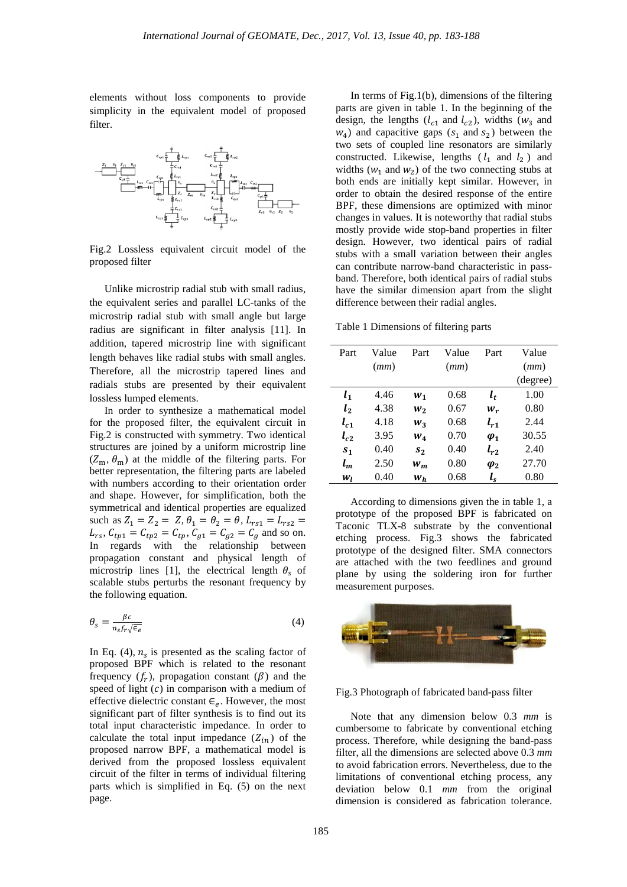elements without loss components to provide simplicity in the equivalent model of proposed filter.



Fig.2 Lossless equivalent circuit model of the proposed filter

Unlike microstrip radial stub with small radius, the equivalent series and parallel LC-tanks of the microstrip radial stub with small angle but large radius are significant in filter analysis [11]. In addition, tapered microstrip line with significant length behaves like radial stubs with small angles. Therefore, all the microstrip tapered lines and radials stubs are presented by their equivalent lossless lumped elements.

In order to synthesize a mathematical model for the proposed filter, the equivalent circuit in Fig.2 is constructed with symmetry. Two identical structures are joined by a uniform microstrip line  $(Z_m, \theta_m)$  at the middle of the filtering parts. For better representation, the filtering parts are labeled with numbers according to their orientation order and shape. However, for simplification, both the symmetrical and identical properties are equalized such as  $Z_1 = Z_2 = Z$ ,  $\theta_1 = \theta_2 = \theta$ ,  $L_{rs1} = L_{rs2} =$  $L_{rs}$ ,  $C_{tp1} = C_{tp2} = C_{tp}$ ,  $C_{g1} = C_{g2} = C_g$  and so on. In regards with the relationship between propagation constant and physical length of microstrip lines [1], the electrical length  $\theta_s$  of scalable stubs perturbs the resonant frequency by the following equation.

$$
\theta_{s} = \frac{\beta c}{n_{s} f_{r} \sqrt{\epsilon_{e}}}
$$
\n(4)

In Eq. (4),  $n<sub>s</sub>$  is presented as the scaling factor of proposed BPF which is related to the resonant frequency  $(f_r)$ , propagation constant  $(\beta)$  and the speed of light  $(c)$  in comparison with a medium of effective dielectric constant  $\epsilon_e$ . However, the most significant part of filter synthesis is to find out its total input characteristic impedance. In order to calculate the total input impedance  $(Z_{in})$  of the proposed narrow BPF, a mathematical model is derived from the proposed lossless equivalent circuit of the filter in terms of individual filtering parts which is simplified in Eq. (5) on the next page.

In terms of Fig.1(b), dimensions of the filtering parts are given in table 1. In the beginning of the design, the lengths ( $l_{c1}$  and  $l_{c2}$ ), widths ( $w_3$  and  $w_4$ ) and capacitive gaps ( $s_1$  and  $s_2$ ) between the two sets of coupled line resonators are similarly constructed. Likewise, lengths  $(l_1 \text{ and } l_2)$  and widths ( $w_1$  and  $w_2$ ) of the two connecting stubs at both ends are initially kept similar. However, in order to obtain the desired response of the entire BPF, these dimensions are optimized with minor changes in values. It is noteworthy that radial stubs mostly provide wide stop-band properties in filter design. However, two identical pairs of radial stubs with a small variation between their angles can contribute narrow-band characteristic in passband. Therefore, both identical pairs of radial stubs have the similar dimension apart from the slight difference between their radial angles.

Table 1 Dimensions of filtering parts

| Part           | Value | Part    | Value | Part                     | Value    |
|----------------|-------|---------|-------|--------------------------|----------|
|                | (mm)  |         | (mm)  |                          | (mm)     |
|                |       |         |       |                          | (degree) |
| $l_1$          | 4.46  | $W_1$   | 0.68  | $l_t$                    | 1.00     |
| $l_{2}$        | 4.38  | $W_2$   | 0.67  | $W_r$                    | 0.80     |
| $l_{c1}$       | 4.18  | $W_3$   | 0.68  | $l_{r1}$                 | 2.44     |
| $l_{c2}$       | 3.95  | $W_4$   | 0.70  | $\varphi_1$              | 30.55    |
| S <sub>1</sub> | 0.40  | $s_{2}$ | 0.40  | $l_{r2}$                 | 2.40     |
| $l_m$          | 2.50  | $W_m$   | 0.80  | $\boldsymbol{\varphi}_2$ | 27.70    |
| W <sub>I</sub> | 0.40  | $W_h$   | 0.68  | $l_{s}$                  | 0.80     |

According to dimensions given the in table 1, a prototype of the proposed BPF is fabricated on Taconic TLX-8 substrate by the conventional etching process. Fig.3 shows the fabricated prototype of the designed filter. SMA connectors are attached with the two feedlines and ground plane by using the soldering iron for further measurement purposes.



Fig.3 Photograph of fabricated band-pass filter

Note that any dimension below 0.3 *mm* is cumbersome to fabricate by conventional etching process. Therefore, while designing the band-pass filter, all the dimensions are selected above 0.3 *mm* to avoid fabrication errors. Nevertheless, due to the limitations of conventional etching process, any deviation below 0.1 *mm* from the original dimension is considered as fabrication tolerance.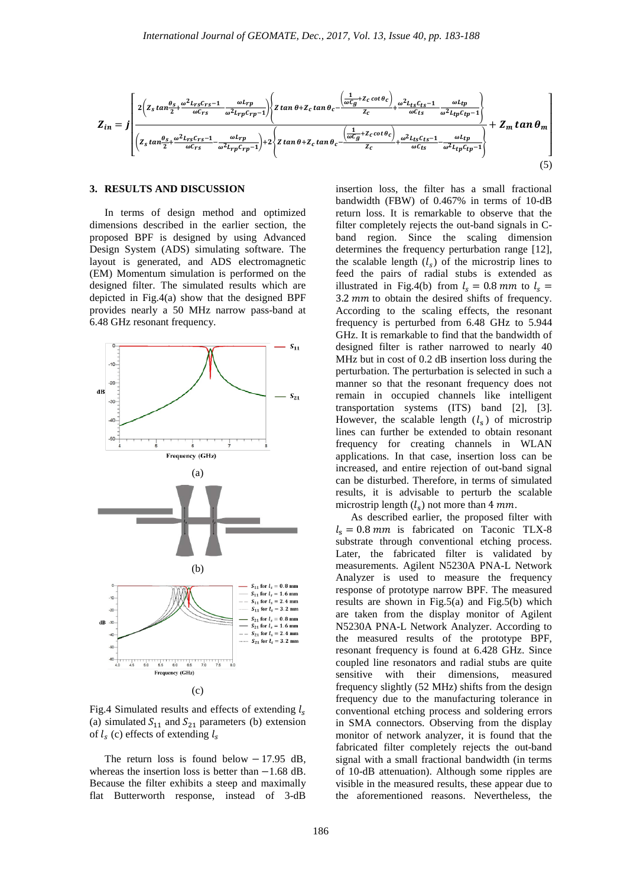$$
Z_{in} = \int \left[ \frac{2\left(z_s \tan\frac{\theta_s}{2} + \frac{\omega^2 L_{rs}C_{rs} - 1}{\omega C_{rs}} - \frac{\omega L_{rp}}{\omega^2 L_{rp}C_{rp} - 1}\right)\left(z \tan\theta + Z_c \tan\theta_c - \frac{\left(\frac{1}{\omega C_g} + Z_c \cot\theta_c\right)}{Z_c} + \frac{\omega^2 L_{ts}C_{ts} - 1}{\omega C_{ts}} - \frac{\omega L_{tp}}{\omega^2 L_{tp}C_{tp} - 1}\right)}{\omega C_{ts}} + Z_m \tan\theta_m \right]
$$
  
+  $Z_m \tan\theta_m$   

$$
\left( z_s \tan\frac{\theta_s}{2} + \frac{\omega^2 L_{rs}C_{rs} - 1}{\omega C_{rs}} - \frac{\omega L_{rp}}{\omega^2 L_{rp}C_{rp} - 1}\right) + 2\left\{z \tan\theta + Z_c \tan\theta_c - \frac{\left(\frac{1}{\omega C_g} + Z_c \cot\theta_c\right)}{Z_c} + \frac{\omega^2 L_{ts}C_{ts} - 1}{\omega C_{ts}} - \frac{\omega L_{tp}}{\omega^2 L_{tp}C_{tp} - 1}\right\}
$$
(5)

## **3. RESULTS AND DISCUSSION**

In terms of design method and optimized dimensions described in the earlier section, the proposed BPF is designed by using Advanced Design System (ADS) simulating software. The layout is generated, and ADS electromagnetic (EM) Momentum simulation is performed on the designed filter. The simulated results which are depicted in Fig.4(a) show that the designed BPF provides nearly a 50 MHz narrow pass-band at 6.48 GHz resonant frequency.



Fig.4 Simulated results and effects of extending  $l_s$ (a) simulated  $S_{11}$  and  $S_{21}$  parameters (b) extension of  $l_s$  (c) effects of extending  $l_s$ 

The return loss is found below  $-17.95$  dB, whereas the insertion loss is better than −1.68 dB. Because the filter exhibits a steep and maximally flat Butterworth response, instead of 3-dB insertion loss, the filter has a small fractional bandwidth (FBW) of 0.467% in terms of 10-dB return loss. It is remarkable to observe that the filter completely rejects the out-band signals in Cband region. Since the scaling dimension determines the frequency perturbation range [12], the scalable length  $(l_s)$  of the microstrip lines to feed the pairs of radial stubs is extended as illustrated in Fig.4(b) from  $l_s = 0.8$  mm to  $l_s =$  $3.2 \, \text{mm}$  to obtain the desired shifts of frequency. According to the scaling effects, the resonant frequency is perturbed from 6.48 GHz to 5.944 GHz. It is remarkable to find that the bandwidth of designed filter is rather narrowed to nearly 40 MHz but in cost of 0.2 dB insertion loss during the perturbation. The perturbation is selected in such a manner so that the resonant frequency does not remain in occupied channels like intelligent transportation systems (ITS) band [2], [3]. However, the scalable length  $(l_s)$  of microstrip lines can further be extended to obtain resonant frequency for creating channels in WLAN applications. In that case, insertion loss can be increased, and entire rejection of out-band signal can be disturbed. Therefore, in terms of simulated results, it is advisable to perturb the scalable microstrip length  $(l_s)$  not more than 4 mm.

As described earlier, the proposed filter with  $l_s = 0.8$  mm is fabricated on Taconic TLX-8 substrate through conventional etching process. Later, the fabricated filter is validated by measurements. Agilent N5230A PNA-L Network Analyzer is used to measure the frequency response of prototype narrow BPF. The measured results are shown in Fig.5(a) and Fig.5(b) which are taken from the display monitor of Agilent N5230A PNA-L Network Analyzer. According to the measured results of the prototype BPF, resonant frequency is found at 6.428 GHz. Since coupled line resonators and radial stubs are quite sensitive with their dimensions, measured frequency slightly (52 MHz) shifts from the design frequency due to the manufacturing tolerance in conventional etching process and soldering errors in SMA connectors. Observing from the display monitor of network analyzer, it is found that the fabricated filter completely rejects the out-band signal with a small fractional bandwidth (in terms of 10-dB attenuation). Although some ripples are visible in the measured results, these appear due to the aforementioned reasons. Nevertheless, the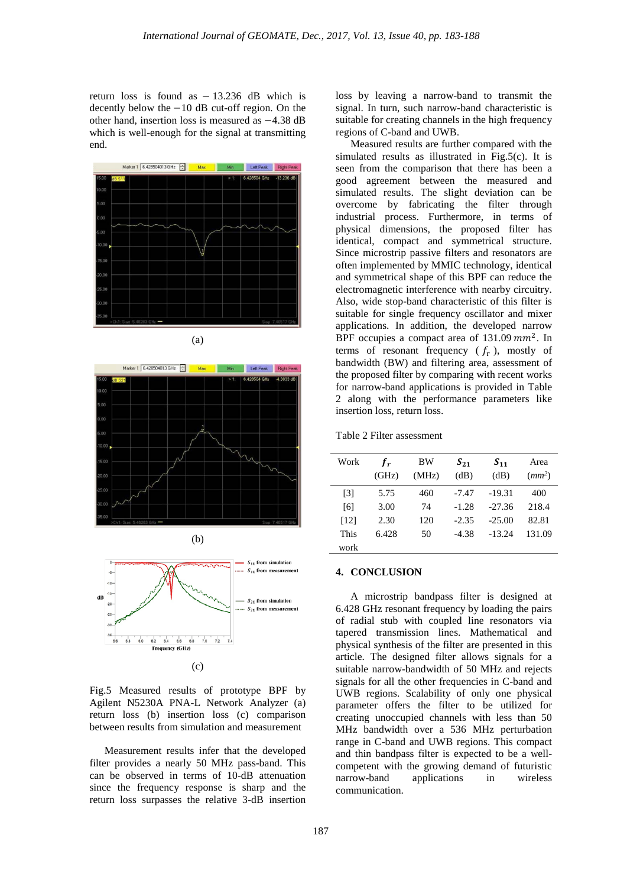return loss is found as − 13.236 dB which is decently below the −10 dB cut-off region. On the other hand, insertion loss is measured as −4.38 dB which is well-enough for the signal at transmitting end.



(a)







Fig.5 Measured results of prototype BPF by Agilent N5230A PNA-L Network Analyzer (a) return loss (b) insertion loss (c) comparison between results from simulation and measurement

Measurement results infer that the developed filter provides a nearly 50 MHz pass-band. This can be observed in terms of 10-dB attenuation since the frequency response is sharp and the return loss surpasses the relative 3-dB insertion loss by leaving a narrow-band to transmit the signal. In turn, such narrow-band characteristic is suitable for creating channels in the high frequency regions of C-band and UWB.

Measured results are further compared with the simulated results as illustrated in Fig.5(c). It is seen from the comparison that there has been a good agreement between the measured and simulated results. The slight deviation can be overcome by fabricating the filter through industrial process. Furthermore, in terms of physical dimensions, the proposed filter has identical, compact and symmetrical structure. Since microstrip passive filters and resonators are often implemented by MMIC technology, identical and symmetrical shape of this BPF can reduce the electromagnetic interference with nearby circuitry. Also, wide stop-band characteristic of this filter is suitable for single frequency oscillator and mixer applications. In addition, the developed narrow BPF occupies a compact area of  $131.09$   $mm<sup>2</sup>$ . In terms of resonant frequency  $(f_r)$ , mostly of bandwidth (BW) and filtering area, assessment of the proposed filter by comparing with recent works for narrow-band applications is provided in Table 2 along with the performance parameters like insertion loss, return loss.

Table 2 Filter assessment

| Work | $f_{r}$<br>(GHz) | BW<br>(MHz) | $S_{21}$<br>(dB) | $S_{11}$<br>(dB) | Area<br>$(mm^2)$ |
|------|------------------|-------------|------------------|------------------|------------------|
| [3]  | 5.75             | 460         | $-7.47$          | $-19.31$         | 400              |
| [6]  | 3.00             | 74          | $-1.28$          | $-27.36$         | 218.4            |
| [12] | 2.30             | 120         | $-2.35$          | $-25.00$         | 82.81            |
| This | 6.428            | 50          | -4.38            | $-13.24$         | 131.09           |
| work |                  |             |                  |                  |                  |

## **4. CONCLUSION**

A microstrip bandpass filter is designed at 6.428 GHz resonant frequency by loading the pairs of radial stub with coupled line resonators via tapered transmission lines. Mathematical and physical synthesis of the filter are presented in this article. The designed filter allows signals for a suitable narrow-bandwidth of 50 MHz and rejects signals for all the other frequencies in C-band and UWB regions. Scalability of only one physical parameter offers the filter to be utilized for creating unoccupied channels with less than 50 MHz bandwidth over a 536 MHz perturbation range in C-band and UWB regions. This compact and thin bandpass filter is expected to be a wellcompetent with the growing demand of futuristic narrow-band applications in wireless communication.